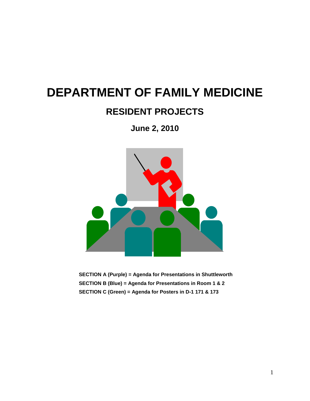# **DEPARTMENT OF FAMILY MEDICINE**

## **RESIDENT PROJECTS**

**June 2, 2010**



**SECTION A (Purple) = Agenda for Presentations in Shuttleworth SECTION B (Blue) = Agenda for Presentations in Room 1 & 2 SECTION C (Green) = Agenda for Posters in D-1 171 & 173**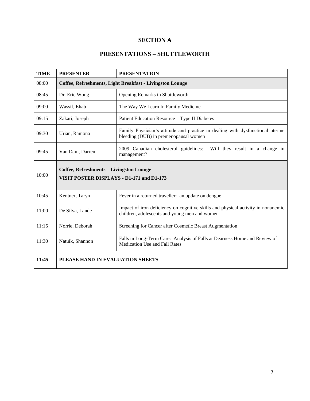## **SECTION A**

#### **PRESENTATIONS – SHUTTLEWORTH**

| <b>TIME</b> | <b>PRESENTER</b>                                                                      | <b>PRESENTATION</b>                                                                                                               |
|-------------|---------------------------------------------------------------------------------------|-----------------------------------------------------------------------------------------------------------------------------------|
| 08:00       | Coffee, Refreshments, Light Breakfast - Livingston Lounge                             |                                                                                                                                   |
| 08:45       | Dr. Eric Wong                                                                         | Opening Remarks in Shuttleworth                                                                                                   |
| 09:00       | Wassif, Ehab                                                                          | The Way We Learn In Family Medicine                                                                                               |
| 09:15       | Zakari, Joseph                                                                        | Patient Education Resource - Type II Diabetes                                                                                     |
| 09:30       | Urian, Ramona                                                                         | Family Physician's attitude and practice in dealing with dysfunctional uterine<br>bleeding (DUB) in premenopausal women           |
| 09:45       | Van Dam, Darren                                                                       | 2009 Canadian cholesterol guidelines:<br>Will they result in a change in<br>management?                                           |
| 10:00       | Coffee, Refreshments - Livingston Lounge<br>VISIT POSTER DISPLAYS - D1-171 and D1-173 |                                                                                                                                   |
| 10:45       | Kentner, Taryn                                                                        | Fever in a returned traveller: an update on dengue                                                                                |
| 11:00       | De Silva, Lande                                                                       | Impact of iron deficiency on cognitive skills and physical activity in nonanemic<br>children, adolescents and young men and women |
| 11:15       | Norrie, Deborah                                                                       | Screening for Cancer after Cosmetic Breast Augmentation                                                                           |
| 11:30       | Natuik, Shannon                                                                       | Falls in Long-Term Care: Analysis of Falls at Dearness Home and Review of<br><b>Medication Use and Fall Rates</b>                 |
| 11:45       | PLEASE HAND IN EVALUATION SHEETS                                                      |                                                                                                                                   |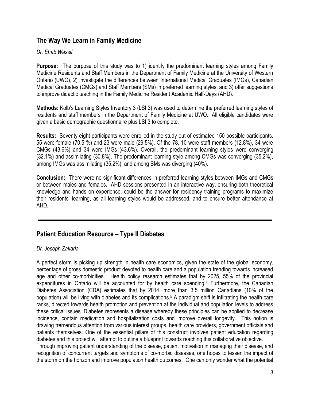## **The Way We Learn in Family Medicine**

#### *Dr. Ehab Wassif*

**Purpose:** The purpose of this study was to 1) identify the predominant learning styles among Family Medicine Residents and Staff Members in the Department of Family Medicine at the University of Western Ontario (UWO), 2) investigate the differences between International Medical Graduates (IMGs), Canadian Medical Graduates (CMGs) and Staff Members (SMs) in preferred learning styles, and 3) offer suggestions to improve didactic teaching in the Family Medicine Resident Academic Half-Days (AHD).

**Methods:** Kolb"s Learning Styles Inventory 3 (LSI 3) was used to determine the preferred learning styles of residents and staff members in the Department of Family Medicine at UWO. All eligible candidates were given a basic demographic questionnaire plus LSI 3 to complete.

**Results:** Seventy-eight participants were enrolled in the study out of estimated 150 possible participants. 55 were female (70.5 %) and 23 were male (29.5%). Of the 78, 10 were staff members (12.8%), 34 were CMGs (43.6%) and 34 were IMGs (43.6%). Overall, the predominant learning styles were converging (32.1%) and assimilating (30.8%). The predominant learning style among CMGs was converging (35.2%), among IMGs was assimilating (35.2%), and among SMs was diverging (40%).

**Conclusion:** There were no significant differences in preferred learning styles between IMGs and CMGs or between males and females. AHD sessions presented in an interactive way, ensuring both theoretical knowledge and hands on experience, could be the answer for residency training programs to maximize their residents" learning, as all learning styles would be addressed, and to ensure better attendance at AHD.

## **Patient Education Resource – Type II Diabetes**

#### *Dr. Joseph Zakaria*

A perfect storm is picking up strength in health care economics, given the state of the global economy, percentage of gross domestic product devoted to health care and a population trending towards increased age and other co-morbidities. Health policy research estimates that by 2025, 55% of the provincial expenditures in Ontario will be accounted for by health care spending.<sup>3</sup> Furthermore, the Canadian Diabetes Association (CDA) estimates that by 2014, more than 3.5 million Canadians (10% of the population) will be living with diabetes and its complications.<sup>5</sup> A paradigm shift is infiltrating the health care ranks, directed towards health promotion and prevention at the individual and population levels to address these critical issues. Diabetes represents a disease whereby these principles can be applied to decrease incidence, contain medication and hospitalization costs and improve overall longevity. This notion is drawing tremendous attention from various interest groups, health care providers, government officials and patients themselves. One of the essential pillars of this construct involves patient education regarding diabetes and this project will attempt to outline a blueprint towards reaching this collaborative objective. Through improving patient understanding of the disease, patient motivation in managing their disease, and recognition of concurrent targets and symptoms of co-morbid diseases, one hopes to lessen the impact of the storm on the horizon and improve population health outcomes. One can only wonder what the potential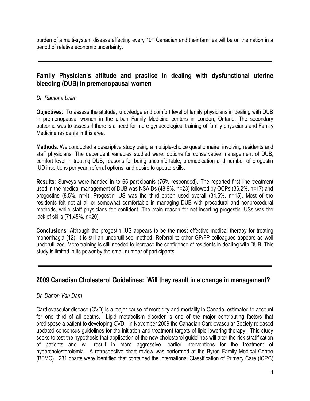burden of a multi-system disease affecting every 10<sup>th</sup> Canadian and their families will be on the nation in a period of relative economic uncertainty.

## **Family Physician's attitude and practice in dealing with dysfunctional uterine bleeding (DUB) in premenopausal women**

#### *Dr. Ramona Urian*

**Objectives**: To assess the attitude, knowledge and comfort level of family physicians in dealing with DUB in premenopausal women in the urban Family Medicine centers in London, Ontario. The secondary outcome was to assess if there is a need for more gynaecological training of family physicians and Family Medicine residents in this area.

**Methods**: We conducted a descriptive study using a multiple-choice questionnaire, involving residents and staff physicians. The dependent variables studied were: options for conservative management of DUB, comfort level in treating DUB, reasons for being uncomfortable, premedication and number of progestin IUD insertions per year, referral options, and desire to update skills.

**Results**: Surveys were handed in to 65 participants (75% responded). The reported first line treatment used in the medical management of DUB was NSAIDs (48.9%, n=23) followed by OCPs (36.2%, n=17) and progestins (8.5%, n=4). Progestin IUS was the third option used overall (34.5%, n=15). Most of the residents felt not at all or somewhat comfortable in managing DUB with procedural and nonprocedural methods, while staff physicians felt confident. The main reason for not inserting progestin IUSs was the lack of skills (71.45%, n=20).

**Conclusions**: Although the progestin IUS appears to be the most effective medical therapy for treating menorrhagia (12), it is still an underutilised method. Referral to other GP/FP colleagues appears as well underutilized. More training is still needed to increase the confidence of residents in dealing with DUB. This study is limited in its power by the small number of participants.

## **2009 Canadian Cholesterol Guidelines: Will they result in a change in management?**

#### *Dr. Darren Van Dam*

Cardiovascular disease (CVD) is a major cause of morbidity and mortality in Canada, estimated to account for one third of all deaths. Lipid metabolism disorder is one of the major contributing factors that predispose a patient to developing CVD. In November 2009 the Canadian Cardiovascular Society released updated consensus guidelines for the initiation and treatment targets of lipid lowering therapy. This study seeks to test the hypothesis that application of the new cholesterol guidelines will alter the risk stratification of patients and will result in more aggressive, earlier interventions for the treatment of hypercholesterolemia. A retrospective chart review was performed at the Byron Family Medical Centre (BFMC). 231 charts were identified that contained the International Classification of Primary Care (ICPC)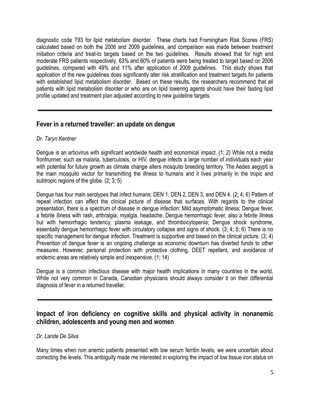diagnostic code T93 for lipid metabolism disorder. These charts had Framingham Risk Scores (FRS) calculated based on both the 2006 and 2009 guidelines, and comparison was made between treatment initiation criteria and treat-to targets based on the two guidelines. Results showed that for high and moderate FRS patients respectively, 63% and 60% of patients were being treated to target based on 2006 guidelines, compared with 49% and 11% after application of 2009 guidelines. This study shows that application of the new guidelines does significantly alter risk stratification and treatment targets for patients with established lipid metabolism disorder. Based on these results, the researchers recommend that all patients with lipid metabolism disorder or who are on lipid lowering agents should have their fasting lipid profile updated and treatment plan adjusted according to new guideline targets.

## **Fever in a returned traveller: an update on dengue**

#### *Dr. Taryn Kentner*

Dengue is an arbovirus with significant worldwide health and economical impact. (1; 2) While not a media frontrunner, such as malaria, tuberculosis, or HIV, dengue infects a large number of individuals each year with potential for future growth as climate change alters mosquito breeding territory. The Aedes aegypti is the main mosquito vector for transmitting the illness to humans and it lives primarily in the tropic and subtropic regions of the globe. (2; 3; 5)

Dengue has four main serotypes that infect humans: DEN 1, DEN 2, DEN 3, and DEN 4. (2; 4; 6) Pattern of repeat infection can affect the clinical picture of disease that surfaces. With regards to the clinical presentation, there is a spectrum of disease in dengue infection: Mild asymptomatic illness; Dengue fever, a febrile illness with rash, arthralgia, myalgia, headache; Dengue hemorrhagic fever, also a febrile illness but with hemorrhagic tendency, plasma leakage, and thrombocytopenia; Dengue shock syndrome, essentially dengue hemorrhagic fever with circulatory collapse and signs of shock. (3; 4; 5; 6) There is no specific management for dengue infection. Treatment is supportive and based on the clinical picture. (3; 4) Prevention of dengue fever is an ongoing challenge as economic downturn has diverted funds to other measures. However, personal protection with protective clothing, DEET repellent, and avoidance of endemic areas are relatively simple and inexpensive. (1; 14)

Dengue is a common infectious disease with major health implications in many countries in the world. While not very common in Canada, Canadian physicians should always consider it on their differential diagnosis of fever in a returned traveller.

## **Impact of iron deficiency on cognitive skills and physical activity in nonanemic children, adolescents and young men and women**

#### *Dr. Lande De Silva*

Many times when non anemic patients presented with low serum ferritin levels, we were uncertain about correcting the levels. This ambiguity made me interested in exploring the impact of low tissue iron status on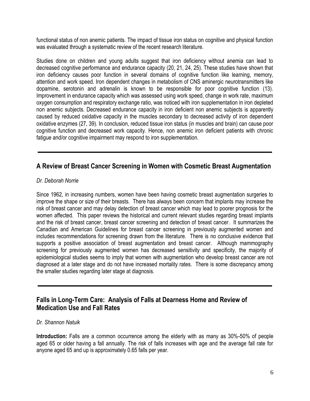functional status of non anemic patients. The impact of tissue iron status on cognitive and physical function was evaluated through a systematic review of the recent research literature.

Studies done on children and young adults suggest that iron deficiency without anemia can lead to decreased cognitive performance and endurance capacity (20, 21, 24, 25). These studies have shown that iron deficiency causes poor function in several domains of cognitive function like learning, memory, attention and work speed. Iron dependent changes in metabolism of CNS aminergic neurotransmitters like dopamine, serotonin and adrenalin is known to be responsible for poor cognitive function (13). Improvement in endurance capacity which was assessed using work speed, change in work rate, maximum oxygen consumption and respiratory exchange ratio, was noticed with iron supplementation in iron depleted non anemic subjects. Decreased endurance capacity in iron deficient non anemic subjects is apparently caused by reduced oxidative capacity in the muscles secondary to decreased activity of iron dependent oxidative enzymes (27, 39). In conclusion, reduced tissue iron status (in muscles and brain) can cause poor cognitive function and decreased work capacity. Hence, non anemic iron deficient patients with chronic fatigue and/or cognitive impairment may respond to iron supplementation.

## **A Review of Breast Cancer Screening in Women with Cosmetic Breast Augmentation**

#### *Dr. Deborah Norrie*

Since 1962, in increasing numbers, women have been having cosmetic breast augmentation surgeries to improve the shape or size of their breasts. There has always been concern that implants may increase the risk of breast cancer and may delay detection of breast cancer which may lead to poorer prognosis for the women affected. This paper reviews the historical and current relevant studies regarding breast implants and the risk of breast cancer, breast cancer screening and detection of breast cancer. It summarizes the Canadian and American Guidelines for breast cancer screening in previously augmented women and includes recommendations for screening drawn from the literature. There is no conclusive evidence that supports a positive association of breast augmentation and breast cancer. Although mammography screening for previously augmented women has decreased sensitivity and specificity, the majority of epidemiological studies seems to imply that women with augmentation who develop breast cancer are not diagnosed at a later stage and do not have increased mortality rates. There is some discrepancy among the smaller studies regarding later stage at diagnosis.

## **Falls in Long-Term Care: Analysis of Falls at Dearness Home and Review of Medication Use and Fall Rates**

#### *Dr. Shannon Natuik*

**Introduction:** Falls are a common occurrence among the elderly with as many as 30%-50% of people aged 65 or older having a fall annually. The risk of falls increases with age and the average fall rate for anyone aged 65 and up is approximately 0.65 falls per year.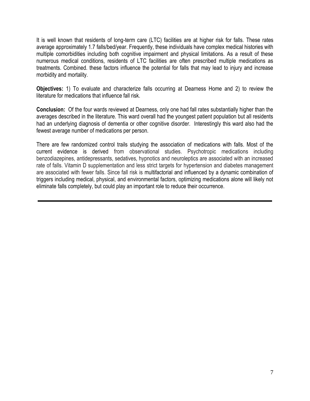It is well known that residents of long-term care (LTC) facilities are at higher risk for falls. These rates average approximately 1.7 falls/bed/year. Frequently, these individuals have complex medical histories with multiple comorbidities including both cognitive impairment and physical limitations. As a result of these numerous medical conditions, residents of LTC facilities are often prescribed multiple medications as treatments. Combined. these factors influence the potential for falls that may lead to injury and increase morbidity and mortality.

**Objectives:** 1) To evaluate and characterize falls occurring at Dearness Home and 2) to review the literature for medications that influence fall risk.

**Conclusion:** Of the four wards reviewed at Dearness, only one had fall rates substantially higher than the averages described in the literature. This ward overall had the youngest patient population but all residents had an underlying diagnosis of dementia or other cognitive disorder. Interestingly this ward also had the fewest average number of medications per person.

There are few randomized control trails studying the association of medications with falls. Most of the current evidence is derived from observational studies. Psychotropic medications including benzodiazepines, antidepressants, sedatives, hypnotics and neuroleptics are associated with an increased rate of falls. Vitamin D supplementation and less strict targets for hypertension and diabetes management are associated with fewer falls. Since fall risk is multifactorial and influenced by a dynamic combination of triggers including medical, physical, and environmental factors, optimizing medications alone will likely not eliminate falls completely, but could play an important role to reduce their occurrence.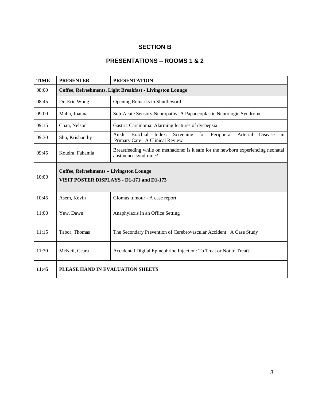## **SECTION B**

## **PRESENTATIONS – ROOMS 1 & 2**

| <b>TIME</b> | <b>PRESENTER</b>                                                                      | <b>PRESENTATION</b>                                                                                                           |
|-------------|---------------------------------------------------------------------------------------|-------------------------------------------------------------------------------------------------------------------------------|
| 08:00       | Coffee, Refreshments, Light Breakfast - Livingston Lounge                             |                                                                                                                               |
| 08:45       | Dr. Eric Wong                                                                         | Opening Remarks in Shuttleworth                                                                                               |
| 09:00       | Mahn, Joanna                                                                          | Sub-Acute Sensory Neuropathy: A Papaneoplastic Neurologic Syndrome                                                            |
| 09:15       | Chan, Nelson                                                                          | Gastric Carcinoma: Alarming features of dyspepsia                                                                             |
| 09:30       | Shu, Krishanthy                                                                       | <b>Brachial</b><br>Index: Screening for<br>Ankle<br>Peripheral<br>Arterial<br>Disease<br>in<br>Primary Care-A Clinical Review |
| 09:45       | Koudra, Fahamia                                                                       | Breastfeeding while on methodone: is it safe for the newborn experiencing neonatal<br>abstinence syndrome?                    |
| 10:00       | Coffee, Refreshments - Livingston Lounge<br>VISIT POSTER DISPLAYS - D1-171 and D1-173 |                                                                                                                               |
| 10:45       | Asem, Kevin                                                                           | Glomus tumour - A case report                                                                                                 |
| 11:00       | Yew, Dawn                                                                             | Anaphylaxis in an Office Setting                                                                                              |
| 11:15       | Tabor, Thomas                                                                         | The Secondary Prevention of Cerebrovascular Accident: A Case Study                                                            |
| 11:30       | McNeil, Ceara                                                                         | Accidental Digital Epinephrine Injection: To Treat or Not to Treat?                                                           |
| 11:45       | PLEASE HAND IN EVALUATION SHEETS                                                      |                                                                                                                               |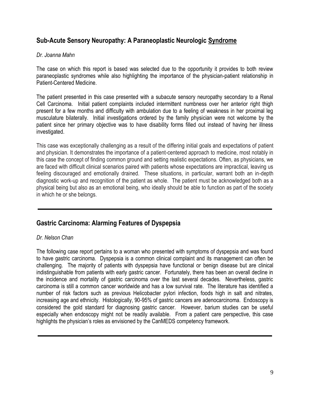## **Sub-Acute Sensory Neuropathy: A Paraneoplastic Neurologic Syndrome**

#### *Dr. Joanna Mahn*

The case on which this report is based was selected due to the opportunity it provides to both review paraneoplastic syndromes while also highlighting the importance of the physician-patient relationship in Patient-Centered Medicine.

The patient presented in this case presented with a subacute sensory neuropathy secondary to a Renal Cell Carcinoma. Initial patient complaints included intermittent numbness over her anterior right thigh present for a few months and difficulty with ambulation due to a feeling of weakness in her proximal leg musculature bilaterally. Initial investigations ordered by the family physician were not welcome by the patient since her primary objective was to have disability forms filled out instead of having her illness investigated.

This case was exceptionally challenging as a result of the differing initial goals and expectations of patient and physician. It demonstrates the importance of a patient-centered approach to medicine, most notably in this case the concept of finding common ground and setting realistic expectations. Often, as physicians, we are faced with difficult clinical scenarios paired with patients whose expectations are impractical, leaving us feeling discouraged and emotionally drained. These situations, in particular, warrant both an in-depth diagnostic work-up and recognition of the patient as whole. The patient must be acknowledged both as a physical being but also as an emotional being, who ideally should be able to function as part of the society in which he or she belongs.

## **Gastric Carcinoma: Alarming Features of Dyspepsia**

#### *Dr. Nelson Chan*

The following case report pertains to a woman who presented with symptoms of dyspepsia and was found to have gastric carcinoma. Dyspepsia is a common clinical complaint and its management can often be challenging. The majority of patients with dyspepsia have functional or benign disease but are clinical indistinguishable from patients with early gastric cancer. Fortunately, there has been an overall decline in the incidence and mortality of gastric carcinoma over the last several decades. Nevertheless, gastric carcinoma is still a common cancer worldwide and has a low survival rate. The literature has identified a number of risk factors such as previous Helicobacter pylori infection, foods high in salt and nitrates, increasing age and ethnicity. Histologically, 90-95% of gastric cancers are adenocarcinoma. Endoscopy is considered the gold standard for diagnosing gastric cancer. However, barium studies can be useful especially when endoscopy might not be readily available. From a patient care perspective, this case highlights the physician's roles as envisioned by the CanMEDS competency framework.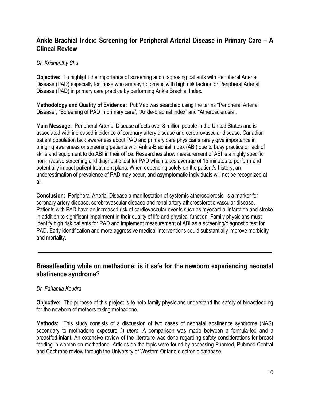## **Ankle Brachial Index: Screening for Peripheral Arterial Disease in Primary Care – A Clincal Review**

#### *Dr. Krishanthy Shu*

**Objective:** To highlight the importance of screening and diagnosing patients with Peripheral Arterial Disease (PAD) especially for those who are asymptomatic with high risk factors for Peripheral Arterial Disease (PAD) in primary care practice by performing Ankle Brachial Index.

**Methodology and Quality of Evidence:** PubMed was searched using the terms "Peripheral Arterial Disease", "Screening of PAD in primary care", "Ankle-brachial index" and "Atherosclerosis".

**Main Message:** Peripheral Arterial Disease affects over 8 million people in the United States and is associated with increased incidence of coronary artery disease and cerebrovascular disease. Canadian patient population lack awareness about PAD and primary care physicians rarely give importance in bringing awareness or screening patients with Ankle-Brachial Index (ABI) due to busy practice or lack of skills and equipment to do ABI in their office. Researches show measurement of ABI is a highly specific non-invasive screening and diagnostic test for PAD which takes average of 15 minutes to perform and potentially impact patient treatment plans. When depending solely on the patient"s history, an underestimation of prevalence of PAD may occur, and asymptomatic individuals will not be recognized at all.

**Conclusion:** Peripheral Arterial Disease a manifestation of systemic atherosclerosis, is a marker for coronary artery disease, cerebrovascular disease and renal artery atherosclerotic vascular disease. Patients with PAD have an increased risk of cardiovascular events such as myocardial infarction and stroke in addition to significant impairment in their quality of life and physical function. Family physicians must identify high risk patients for PAD and implement measurement of ABI as a screening/diagnostic test for PAD. Early identification and more aggressive medical interventions could substantially improve morbidity and mortality.

## **Breastfeeding while on methadone: is it safe for the newborn experiencing neonatal abstinence syndrome?**

#### *Dr. Fahamia Koudra*

**Objective:** The purpose of this project is to help family physicians understand the safety of breastfeeding for the newborn of mothers taking methadone.

**Methods:** This study consists of a discussion of two cases of neonatal abstinence syndrome (NAS) secondary to methadone exposure *in utero*. A comparison was made between a formula-fed and a breastfed infant. An extensive review of the literature was done regarding safety considerations for breast feeding in women on methadone. Articles on the topic were found by accessing Pubmed, Pubmed Central and Cochrane review through the University of Western Ontario electronic database.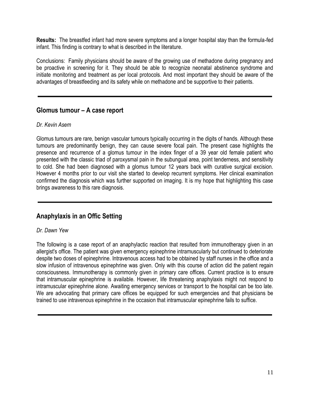**Results:** The breastfed infant had more severe symptoms and a longer hospital stay than the formula-fed infant. This finding is contrary to what is described in the literature.

Conclusions: Family physicians should be aware of the growing use of methadone during pregnancy and be proactive in screening for it. They should be able to recognize neonatal abstinence syndrome and initiate monitoring and treatment as per local protocols. And most important they should be aware of the advantages of breastfeeding and its safety while on methadone and be supportive to their patients.

## **Glomus tumour – A case report**

#### *Dr. Kevin Asem*

Glomus tumours are rare, benign vascular tumours typically occurring in the digits of hands. Although these tumours are predominantly benign, they can cause severe focal pain. The present case highlights the presence and recurrence of a glomus tumour in the index finger of a 39 year old female patient who presented with the classic triad of paroxysmal pain in the subungual area, point tenderness, and sensitivity to cold. She had been diagnosed with a glomus tumour 12 years back with curative surgical excision. However 4 months prior to our visit she started to develop recurrent symptoms. Her clinical examination confirmed the diagnosis which was further supported on imaging. It is my hope that highlighting this case brings awareness to this rare diagnosis.

## **Anaphylaxis in an Offic Setting**

#### *Dr. Dawn Yew*

The following is a case report of an anaphylactic reaction that resulted from immunotherapy given in an allergist's office. The patient was given emergency epinephrine intramuscularly but continued to deteriorate despite two doses of epinephrine. Intravenous access had to be obtained by staff nurses in the office and a slow infusion of intravenous epinephrine was given. Only with this course of action did the patient regain consciousness. Immunotherapy is commonly given in primary care offices. Current practice is to ensure that intramuscular epinephrine is available. However, life threatening anaphylaxis might not respond to intramuscular epinephrine alone. Awaiting emergency services or transport to the hospital can be too late. We are advocating that primary care offices be equipped for such emergencies and that physicians be trained to use intravenous epinephrine in the occasion that intramuscular epinephrine fails to suffice.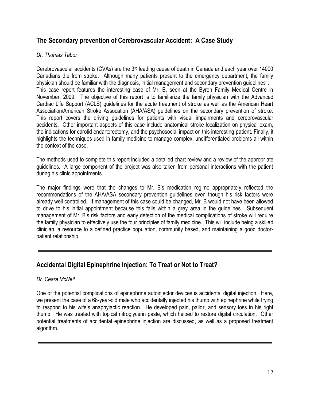## **The Secondary prevention of Cerebrovascular Accident: A Case Study**

#### *Dr. Thomas Tabor*

Cerebrovascular accidents (CVAs) are the  $3<sup>rd</sup>$  leading cause of death in Canada and each year over 14000 Canadians die from stroke. Although many patients present to the emergency department, the family physician should be familiar with the diagnosis, initial management and secondary prevention guidelines<sup>1</sup>. This case report features the interesting case of Mr. B, seen at the Byron Family Medical Centre in November, 2009. The objective of this report is to familiarize the family physician with the Advanced Cardiac Life Support (ACLS) guidelines for the acute treatment of stroke as well as the American Heart Association/American Stroke Assocation (AHA/ASA) guidelines on the secondary prevention of stroke. This report covers the driving guidelines for patients with visual impairments and cerebrovascular accidents. Other important aspects of this case include anatomical stroke localization on physical exam, the indications for carotid endarterectomy, and the psychosocial impact on this interesting patient. Finally, it highlights the techniques used in family medicine to manage complex, undifferentiated problems all within the context of the case.

The methods used to complete this report included a detailed chart review and a review of the appropriate guidelines. A large component of the project was also taken from personal interactions with the patient during his clinic appointments.

The major findings were that the changes to Mr. B"s medication regime appropriately reflected the recommendations of the AHA/ASA secondary prevention guidelines even though his risk factors were already well controlled. If management of this case could be changed, Mr. B would not have been allowed to drive to his initial appointment because this falls within a grey area in the guidelines. Subsequent management of Mr. B's risk factors and early detection of the medical complications of stroke will require the family physician to effectively use the four principles of family medicine. This will include being a skilled clinician, a resource to a defined practice population, community based, and maintaining a good doctorpatient relationship.

## **Accidental Digital Epinephrine Injection: To Treat or Not to Treat?**

#### *Dr. Ceara McNeil*

One of the potential complications of epinephrine autoinjector devices is accidental digital injection. Here, we present the case of a 68-year-old male who accidentally injected his thumb with epinephrine while trying to respond to his wife"s anaphylactic reaction. He developed pain, pallor, and sensory loss in his right thumb. He was treated with topical nitroglycerin paste, which helped to restore digital circulation. Other potential treatments of accidental epinephrine injection are discussed, as well as a proposed treatment algorithm.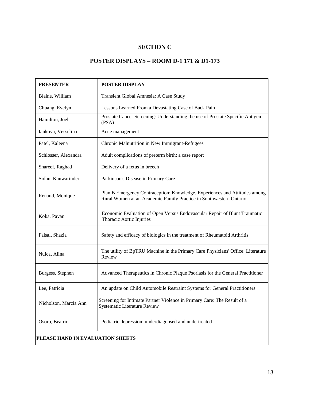## **SECTION C**

## **POSTER DISPLAYS – ROOM D-1 171 & D1-173**

| <b>PRESENTER</b>                 | <b>POSTER DISPLAY</b>                                                                                                                            |  |  |  |
|----------------------------------|--------------------------------------------------------------------------------------------------------------------------------------------------|--|--|--|
| Blaine, William                  | Transient Global Amnesia: A Case Study                                                                                                           |  |  |  |
| Chuang, Evelyn                   | Lessons Learned From a Devastating Case of Back Pain                                                                                             |  |  |  |
| Hamilton, Joel                   | Prostate Cancer Screening: Understanding the use of Prostate Specific Antigen<br>(PSA)                                                           |  |  |  |
| Iankova, Vesselina               | Acne management                                                                                                                                  |  |  |  |
| Patel, Kaleena                   | Chronic Malnutrition in New Immigrant-Refugees                                                                                                   |  |  |  |
| Schlosser, Alexandra             | Adult complications of preterm birth: a case report                                                                                              |  |  |  |
| Shareef, Raghad                  | Delivery of a fetus in breech                                                                                                                    |  |  |  |
| Sidhu, Kanwarinder               | Parkinson's Disease in Primary Care                                                                                                              |  |  |  |
| Renaud, Monique                  | Plan B Emergency Contraception: Knowledge, Experiences and Attitudes among<br>Rural Women at an Academic Family Practice in Southwestern Ontario |  |  |  |
| Koka, Pavan                      | Economic Evaluation of Open Versus Endovascular Repair of Blunt Traumatic<br>Thoracic Aortic Injuries                                            |  |  |  |
| Faisal, Shazia                   | Safety and efficacy of biologics in the treatment of Rheumatoid Arthritis                                                                        |  |  |  |
| Nuica, Alina                     | The utility of BpTRU Machine in the Primary Care Physicians' Office: Literature<br>Review                                                        |  |  |  |
| Burgess, Stephen                 | Advanced Therapeutics in Chronic Plaque Psoriasis for the General Practitioner                                                                   |  |  |  |
| Lee, Patricia                    | An update on Child Automobile Restraint Systems for General Practitioners                                                                        |  |  |  |
| Nicholson, Marcia Ann            | Screening for Intimate Partner Violence in Primary Care: The Result of a<br><b>Systematic Literature Review</b>                                  |  |  |  |
| Osoro, Beatric                   | Pediatric depression: underdiagnosed and undertreated                                                                                            |  |  |  |
| PLEASE HAND IN EVALUATION SHEETS |                                                                                                                                                  |  |  |  |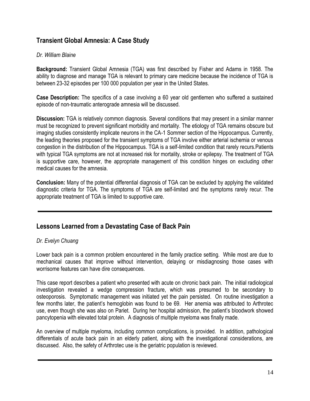## **Transient Global Amnesia: A Case Study**

#### *Dr. William Blaine*

**Background:** Transient Global Amnesia (TGA) was first described by Fisher and Adams in 1958. The ability to diagnose and manage TGA is relevant to primary care medicine because the incidence of TGA is between 23-32 episodes per 100 000 population per year in the United States.

**Case Description:** The specifics of a case involving a 60 year old gentlemen who suffered a sustained episode of non-traumatic anterograde amnesia will be discussed.

**Discussion:** TGA is relatively common diagnosis. Several conditions that may present in a similar manner must be recognized to prevent significant morbidity and mortality. The etiology of TGA remains obscure but imaging studies consistently implicate neurons in the CA-1 Sommer section of the Hippocampus. Currently, the leading theories proposed for the transient symptoms of TGA involve either arterial ischemia or venous congestion in the distribution of the Hippocampus. TGA is a self-limited condition that rarely recurs.Patients with typical TGA symptoms are not at increased risk for mortality, stroke or epilepsy. The treatment of TGA is supportive care, however, the appropriate management of this condition hinges on excluding other medical causes for the amnesia.

**Conclusion:** Many of the potential differential diagnosis of TGA can be excluded by applying the validated diagnostic criteria for TGA. The symptoms of TGA are self-limited and the symptoms rarely recur. The appropriate treatment of TGA is limited to supportive care.

## **Lessons Learned from a Devastating Case of Back Pain**

#### *Dr. Evelyn Chuang*

Lower back pain is a common problem encountered in the family practice setting. While most are due to mechanical causes that improve without intervention, delaying or misdiagnosing those cases with worrisome features can have dire consequences.

This case report describes a patient who presented with acute on chronic back pain. The initial radiological investigation revealed a wedge compression fracture, which was presumed to be secondary to osteoporosis. Symptomatic management was initiated yet the pain persisted. On routine investigation a few months later, the patient's hemoglobin was found to be 69. Her anemia was attributed to Arthrotec use, even though she was also on Pariet. During her hospital admission, the patient"s bloodwork showed pancytopenia with elevated total protein. A diagnosis of multiple myeloma was finally made.

An overview of multiple myeloma, including common complications, is provided. In addition, pathological differentials of acute back pain in an elderly patient, along with the investigational considerations, are discussed. Also, the safety of Arthrotec use is the geriatric population is reviewed.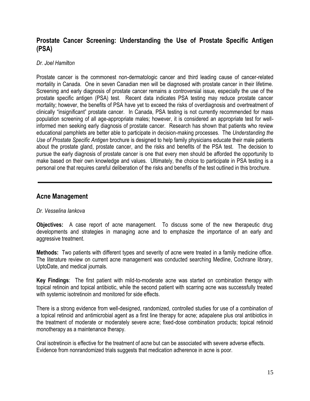## **Prostate Cancer Screening: Understanding the Use of Prostate Specific Antigen (PSA)**

#### *Dr. Joel Hamilton*

Prostate cancer is the commonest non-dermatologic cancer and third leading cause of cancer-related mortality in Canada. One in seven Canadian men will be diagnosed with prostate cancer in their lifetime. Screening and early diagnosis of prostate cancer remains a controversial issue, especially the use of the prostate specific antigen (PSA) test. Recent data indicates PSA testing may reduce prostate cancer mortality; however, the benefits of PSA have yet to exceed the risks of overdiagnosis and overtreatment of clinically "insignificant" prostate cancer. In Canada, PSA testing is not currently recommended for mass population screening of all age-appropriate males; however, it is considered an appropriate test for wellinformed men seeking early diagnosis of prostate cancer. Research has shown that patients who review educational pamphlets are better able to participate in decision-making processes. The *Understanding the Use of Prostate Specific Antigen* brochure is designed to help family physicians educate their male patients about the prostate gland, prostate cancer, and the risks and benefits of the PSA test. The decision to pursue the early diagnosis of prostate cancer is one that every men should be afforded the opportunity to make based on their own knowledge and values. Ultimately, the choice to participate in PSA testing is a personal one that requires careful deliberation of the risks and benefits of the test outlined in this brochure.

## **Acne Management**

#### *Dr. Vesselina Iankova*

**Objectives:** A case report of acne management. To discuss some of the new therapeutic drug developments and strategies in managing acne and to emphasize the importance of an early and aggressive treatment.

**Methods:** Two patients with different types and severity of acne were treated in a family medicine office. The literature review on current acne management was conducted searching Medline, Cochrane library, UptoDate, and medical journals.

**Key Findings**: The first patient with mild-to-moderate acne was started on combination therapy with topical retinoin and topical antibiotic, while the second patient with scarring acne was successfully treated with systemic isotretinoin and monitored for side effects.

There is a strong evidence from well-designed, randomized, controlled studies for use of a combination of a topical retinoid and antimicrobial agent as a first line therapy for acne; adapalene plus oral antibiotics in the treatment of moderate or moderately severe acne; fixed-dose combination products; topical retinoid monotherapy as a maintenance therapy.

Oral isotretinoin is effective for the treatment of acne but can be associated with severe adverse effects. Evidence from nonrandomized trials suggests that medication adherence in acne is poor.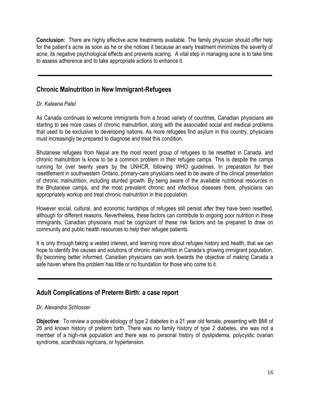**Conclusion:** There are highly effective acne treatments available. The family physician should offer help for the patient's acne as soon as he or she notices it because an early treatment minimizes the severity of acne, its negative psychological effects and prevents scaring. A vital step in managing acne is to take time to assess adherence and to take appropriate actions to enhance it.

## **Chronic Malnutrition in New Immigrant-Refugees**

#### *Dr. Kaleena Patel*

As Canada continues to welcome immigrants from a broad variety of countries, Canadian physicians are starting to see more cases of chronic malnutrition, along with the associated social and medical problems that used to be exclusive to developing nations. As more refugees find asylum in this country, physicians must increasingly be prepared to diagnose and treat this condition.

Bhutanese refugees from Nepal are the most recent group of refugees to be resettled in Canada, and chronic malnutrition is know to be a common problem in their refugee camps. This is despite the camps running for over twenty years by the UNHCR, following WHO guidelines. In preparation for their resettlement in southwestern Ontario, primary-care physicians need to be aware of the clinical presentation of chronic malnutrition, including stunted growth. By being aware of the available nutritional resources in the Bhutanese camps, and the most prevalent chronic and infectious diseases there, physicians can appropriately workup and treat chronic malnutrition in this population.

However social, cultural, and economic hardships of refugees still persist after they have been resettled, although for different reasons. Nevertheless, these factors can contribute to ongoing poor nutrition in these immigrants. Canadian physicians must be cognizant of these risk factors and be prepared to draw on community and public health resources to help their refugee patients.

It is only through taking a vested interest, and learning more about refugee history and health, that we can hope to identify the causes and solutions of chronic malnutrition in Canada"s growing immigrant population. By becoming better informed, Canadian physicians can work towards the objective of making Canada a safe haven where this problem has little or no foundation for those who come to it.

## **Adult Complications of Preterm Birth: a case report**

#### *Dr. Alexandra Schlosser*

**Objective**: To review a possible etiology of type 2 diabetes in a 21 year old female, presenting with BMI of 26 and known history of preterm birth. There was no family history of type 2 diabetes, she was not a member of a high-risk population and there was no personal history of dyslipidemia, polycystic ovarian syndrome, acanthosis nigricans, or hypertension.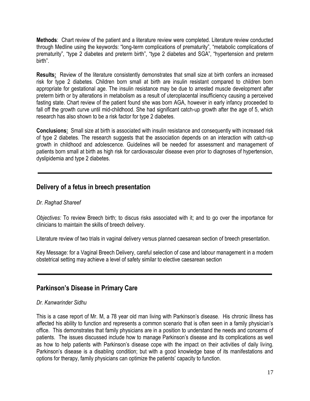**Methods**: Chart review of the patient and a literature review were completed. Literature review conducted through Medline using the keywords: "long-term complications of prematurity", "metabolic complications of prematurity", "type 2 diabetes and preterm birth", "type 2 diabetes and SGA", "hypertension and preterm birth".

**Results:** Review of the literature consistently demonstrates that small size at birth confers an increased risk for type 2 diabetes. Children born small at birth are insulin resistant compared to children born appropriate for gestational age. The insulin resistance may be due to arrested muscle development after preterm birth or by alterations in metabolism as a result of uteroplacental insufficiency causing a perceived fasting state. Chart review of the patient found she was born AGA, however in early infancy proceeded to fall off the growth curve until mid-childhood. She had significant catch-up growth after the age of 5, which research has also shown to be a risk factor for type 2 diabetes.

**Conclusions:** Small size at birth is associated with insulin resistance and consequently with increased risk of type 2 diabetes. The research suggests that the association depends on an interaction with catch-up growth in childhood and adolescence. Guidelines will be needed for assessment and management of patients born small at birth as high risk for cardiovascular disease even prior to diagnoses of hypertension, dyslipidemia and type 2 diabetes.

## **Delivery of a fetus in breech presentation**

#### *Dr. Raghad Shareef*

*Objectives:* To review Breech birth; to discus risks associated with it; and to go over the importance for clinicians to maintain the skills of breech delivery.

Literature review of two trials in vaginal delivery versus planned caesarean section of breech presentation.

Key Message: for a Vaginal Breech Delivery, careful selection of case and labour management in a modern obstetrical setting may achieve a level of safety similar to elective caesarean section

## **Parkinson's Disease in Primary Care**

#### *Dr. Kanwarinder Sidhu*

This is a case report of Mr. M, a 78 year old man living with Parkinson"s disease. His chronic illness has affected his ability to function and represents a common scenario that is often seen in a family physician"s office. This demonstrates that family physicians are in a position to understand the needs and concerns of patients. The issues discussed include how to manage Parkinson"s disease and its complications as well as how to help patients with Parkinson"s disease cope with the impact on their activities of daily living. Parkinson's disease is a disabling condition; but with a good knowledge base of its manifestations and options for therapy, family physicians can optimize the patients" capacity to function.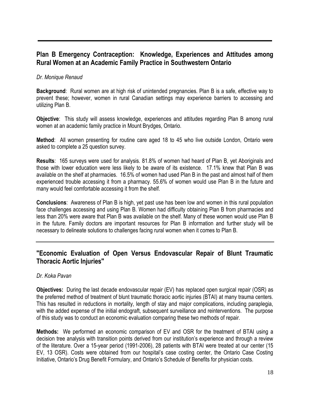## **Plan B Emergency Contraception: Knowledge, Experiences and Attitudes among Rural Women at an Academic Family Practice in Southwestern Ontario**

#### *Dr. Monique Renaud*

**Background**: Rural women are at high risk of unintended pregnancies. Plan B is a safe, effective way to prevent these; however, women in rural Canadian settings may experience barriers to accessing and utilizing Plan B.

**Objective**: This study will assess knowledge, experiences and attitudes regarding Plan B among rural women at an academic family practice in Mount Brydges, Ontario.

**Method**: All women presenting for routine care aged 18 to 45 who live outside London, Ontario were asked to complete a 25 question survey.

**Results**: 165 surveys were used for analysis. 81.8% of women had heard of Plan B, yet Aboriginals and those with lower education were less likely to be aware of its existence. 17.1% knew that Plan B was available on the shelf at pharmacies. 16.5% of women had used Plan B in the past and almost half of them experienced trouble accessing it from a pharmacy. 55.6% of women would use Plan B in the future and many would feel comfortable accessing it from the shelf.

**Conclusions**: Awareness of Plan B is high, yet past use has been low and women in this rural population face challenges accessing and using Plan B. Women had difficulty obtaining Plan B from pharmacies and less than 20% were aware that Plan B was available on the shelf. Many of these women would use Plan B in the future. Family doctors are important resources for Plan B information and further study will be necessary to delineate solutions to challenges facing rural women when it comes to Plan B.

## **"Economic Evaluation of Open Versus Endovascular Repair of Blunt Traumatic Thoracic Aortic Injuries"**

#### *Dr. Koka Pavan*

**Objectives:** During the last decade endovascular repair (EV) has replaced open surgical repair (OSR) as the preferred method of treatment of blunt traumatic thoracic aortic injuries (BTAI) at many trauma centers. This has resulted in reductions in mortality, length of stay and major complications, including paraplegia, with the added expense of the initial endograft, subsequent surveillance and reinterventions. The purpose of this study was to conduct an economic evaluation comparing these two methods of repair.

**Methods:** We performed an economic comparison of EV and OSR for the treatment of BTAI using a decision tree analysis with transition points derived from our institution"s experience and through a review of the literature. Over a 15-year period (1991-2006), 28 patients with BTAI were treated at our center (15 EV, 13 OSR). Costs were obtained from our hospital"s case costing center, the Ontario Case Costing Initiative, Ontario's Drug Benefit Formulary, and Ontario's Schedule of Benefits for physician costs.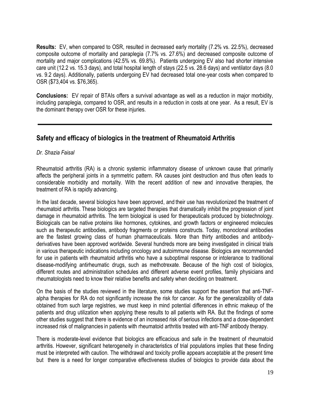**Results:** EV, when compared to OSR, resulted in decreased early mortality (7.2% vs. 22.5%), decreased composite outcome of mortality and paraplegia (7.7% vs. 27.6%) and decreased composite outcome of mortality and major complications (42.5% vs. 69.8%). Patients undergoing EV also had shorter intensive care unit (12.2 vs. 15.3 days), and total hospital length of stays (22.5 vs. 28.6 days) and ventilator days (8.0 vs. 9.2 days). Additionally, patients undergoing EV had decreased total one-year costs when compared to OSR (\$73,404 vs. \$76,365).

**Conclusions:** EV repair of BTAIs offers a survival advantage as well as a reduction in major morbidity, including paraplegia, compared to OSR, and results in a reduction in costs at one year. As a result, EV is the dominant therapy over OSR for these injuries.

## **Safety and efficacy of biologics in the treatment of Rheumatoid Arthritis**

*Dr. Shazia Faisal*

Rheumatoid arthritis (RA) is a chronic systemic inflammatory disease of unknown cause that primarily affects the peripheral joints in a symmetric pattern. RA causes joint destruction and thus often leads to considerable morbidity and mortality. With the recent addition of new and innovative therapies, the treatment of RA is rapidly advancing.

In the last decade, several biologics have been approved, and their use has revolutionized the treatment of rheumatoid arthritis. These biologics are targeted therapies that dramatically inhibit the progression of joint damage in rheumatoid arthritis. The term biological is used for therapeuticals produced by biotechnology. Biologicals can be native proteins like hormones, cytokines, and growth factors or engineered molecules such as therapeutic antibodies, antibody fragments or proteins constructs. Today, monoclonal antibodies are the fastest growing class of human pharmaceuticals. More than thirty antibodies and antibodyderivatives have been approved worldwide. Several hundreds more are being investigated in clinical trials in various therapeutic indications including oncology and autoimmune disease. Biologics are recommended for use in patients with rheumatoid arthritis who have a suboptimal response or intolerance to traditional disease-modifying antirheumatic drugs, such as methotrexate. Because of the high cost of biologics, different routes and administration schedules and different adverse event profiles, family physicians and rheumatologists need to know their relative benefits and safety when deciding on treatment.

On the basis of the studies reviewed in the literature, some studies support the assertion that anti-TNFalpha therapies for RA do not significantly increase the risk for cancer. As for the generalizability of data obtained from such large registries, we must keep in mind potential differences in ethnic makeup of the patients and drug utilization when applying these results to all patients with RA. But the findings of some other studies suggest that there is evidence of an increased risk of serious infections and a dose-dependent increased risk of malignancies in patients with rheumatoid arthritis treated with anti-TNF antibody therapy.

There is moderate-level evidence that biologics are efficacious and safe in the treatment of rheumatoid arthritis. However, significant heterogeneity in characteristics of trial populations implies that these finding must be interpreted with caution. The withdrawal and toxicity profile appears acceptable at the present time but there is a need for longer comparative effectiveness studies of biologics to provide data about the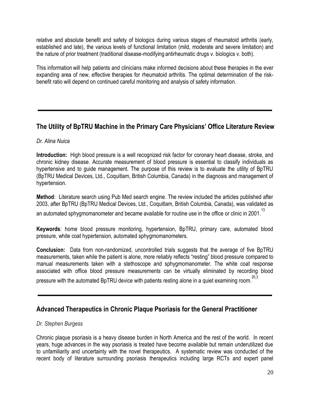relative and absolute benefit and safety of biologics during various stages of rheumatoid arthritis (early, established and late), the various levels of functional limitation (mild, moderate and severe limitation) and the nature of prior treatment (traditional disease-modifying antirheumatic drugs v. biologics v. both).

This information will help patients and clinicians make informed decisions about these therapies in the ever expanding area of new, effective therapies for rheumatoid arthritis. The optimal determination of the riskbenefit ratio will depend on continued careful monitoring and analysis of safety information.

## **The Utility of BpTRU Machine in the Primary Care Physicians' Office Literature Review**

#### *Dr. Alina Nuica*

**Introduction:** High blood pressure is a well recognized risk factor for coronary heart disease, stroke, and chronic kidney disease. Accurate measurement of blood pressure is essential to classify individuals as hypertensive and to guide management. The purpose of this review is to evaluate the utility of BpTRU (BpTRU Medical Devices, Ltd., Coquitlam, British Columbia, Canada) in the diagnosis and management of hypertension.

**Method**: Literature search using Pub Med search engine. The review included the articles published after 2003, after BpTRU (BpTRU Medical Devices, Ltd., Coquitlam, British Columbia, Canada), was validated as

an automated sphygmomanometer and became available for routine use in the office or clinic in 2001.<sup>13</sup>

**Keywords**: home blood pressure monitoring, hypertension, BpTRU, primary care, automated blood pressure, white coat hypertension, automated sphygmomanometers.

**Conclusion:** Data from non-randomized, uncontrolled trials suggests that the average of five BpTRU measurements, taken while the patient is alone, more reliably reflects "resting" blood pressure compared to manual measurements taken with a stethoscope and sphygmomanometer. The white coat response associated with office blood pressure measurements can be virtually eliminated by recording blood

pressure with the automated BpTRU device with patients resting alone in a quiet examining room.

## **Advanced Therapeutics in Chronic Plaque Psoriasis for the General Practitioner**

#### *Dr. Stephen Burgess*

Chronic plaque psoriasis is a heavy disease burden in North America and the rest of the world. In recent years, huge advances in the way psoriasis is treated have become available but remain underutilized due to unfamiliarity and uncertainty with the novel therapeutics. A systematic review was conducted of the recent body of literature surrounding psoriasis therapeutics including large RCTs and expert panel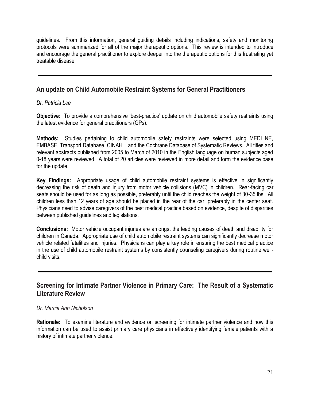guidelines. From this information, general guiding details including indications, safety and monitoring protocols were summarized for all of the major therapeutic options. This review is intended to introduce and encourage the general practitioner to explore deeper into the therapeutic options for this frustrating yet treatable disease.

## **An update on Child Automobile Restraint Systems for General Practitioners**

#### *Dr. Patricia Lee*

**Objective:** To provide a comprehensive 'best-practice' update on child automobile safety restraints using the latest evidence for general practitioners (GPs).

**Methods:** Studies pertaining to child automobile safety restraints were selected using MEDLINE, EMBASE, Transport Database, CINAHL, and the Cochrane Database of Systematic Reviews. All titles and relevant abstracts published from 2005 to March of 2010 in the English language on human subjects aged 0-18 years were reviewed. A total of 20 articles were reviewed in more detail and form the evidence base for the update.

**Key Findings:** Appropriate usage of child automobile restraint systems is effective in significantly decreasing the risk of death and injury from motor vehicle collisions (MVC) in children. Rear-facing car seats should be used for as long as possible, preferably until the child reaches the weight of 30-35 lbs. All children less than 12 years of age should be placed in the rear of the car, preferably in the center seat. Physicians need to advise caregivers of the best medical practice based on evidence, despite of disparities between published guidelines and legislations.

**Conclusions:** Motor vehicle occupant injuries are amongst the leading causes of death and disability for children in Canada. Appropriate use of child automobile restraint systems can significantly decrease motor vehicle related fatalities and injuries. Physicians can play a key role in ensuring the best medical practice in the use of child automobile restraint systems by consistently counseling caregivers during routine wellchild visits.

## **Screening for Intimate Partner Violence in Primary Care: The Result of a Systematic Literature Review**

#### *Dr. Marcia Ann Nicholson*

**Rationale:** To examine literature and evidence on screening for intimate partner violence and how this information can be used to assist primary care physicians in effectively identifying female patients with a history of intimate partner violence.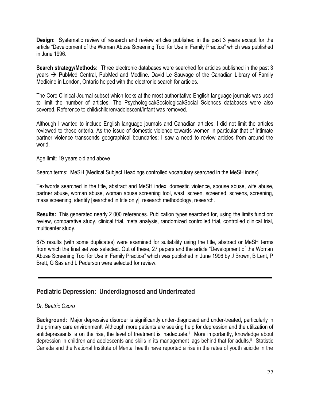**Design:** Systematic review of research and review articles published in the past 3 years except for the article "Development of the Woman Abuse Screening Tool for Use in Family Practice" which was published in June 1996.

**Search strategy/Methods:** Three electronic databases were searched for articles published in the past 3 years  $\rightarrow$  PubMed Central, PubMed and Medline. David Le Sauvage of the Canadian Library of Family Medicine in London, Ontario helped with the electronic search for articles.

The Core Clinical Journal subset which looks at the most authoritative English language journals was used to limit the number of articles. The Psychological/Sociological/Social Sciences databases were also covered. Reference to child/children/adolescent/infant was removed.

Although I wanted to include English language journals and Canadian articles, I did not limit the articles reviewed to these criteria. As the issue of domestic violence towards women in particular that of intimate partner violence transcends geographical boundaries; I saw a need to review articles from around the world.

Age limit: 19 years old and above

Search terms: MeSH (Medical Subject Headings controlled vocabulary searched in the MeSH index)

Textwords searched in the title, abstract and MeSH index: domestic violence, spouse abuse, wife abuse, partner abuse, woman abuse, woman abuse screening tool, wast, screen, screened, screens, screening, mass screening, identify [searched in title only], research methodology, research.

**Results:** This generated nearly 2 000 references. Publication types searched for, using the limits function: review, comparative study, clinical trial, meta analysis, randomized controlled trial, controlled clinical trial, multicenter study.

675 results (with some duplicates) were examined for suitability using the title, abstract or MeSH terms from which the final set was selected. Out of these, 27 papers and the article "Development of the Woman Abuse Screening Tool for Use in Family Practice" which was published in June 1996 by J Brown, B Lent, P Brett, G Sas and L Pederson were selected for review.

## **Pediatric Depression: Underdiagnosed and Undertreated**

#### *Dr. Beatric Osoro*

**Background:** Major depressive disorder is significantly under-diagnosed and under-treated, particularly in the primary care environment<sup>i</sup>. Although more patients are seeking help for depression and the utilization of antidepressants is on the rise, the level of treatment is inadequate.<sup>ii</sup> More importantly, knowledge about depression in children and adolescents and skills in its management lags behind that for adults.iii Statistic Canada and the National Institute of Mental health have reported a rise in the rates of youth suicide in the